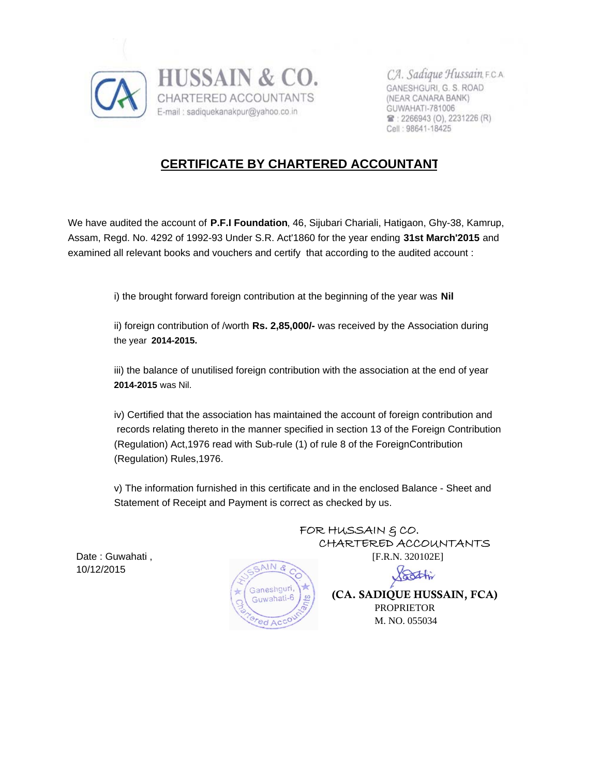

CA. Sadique Hussain, F.C.A. GANESHGURI, G. S. ROAD (NEAR CANARA BANK) GUWAHATI-781006 宫: 2266943 (O), 2231226 (R) Cell: 98641-18425

# **CERTIFICATE BY CHARTERED ACCOUNTANT**

We have audited the account of **P.F.I Foundation**, 46, Sijubari Chariali, Hatigaon, Ghy-38, Kamrup, Assam, Regd. No. 4292 of 1992-93 Under S.R. Act'1860 for the year ending **31st March'2015** and examined all relevant books and vouchers and certify that according to the audited account :

i) the brought forward foreign contribution at the beginning of the year was **Nil**

ii) foreign contribution of /worth **Rs. 2,85,000/-** was received by the Association during the year **2014-2015.**

iii) the balance of unutilised foreign contribution with the association at the end of year **2014-2015** was Nil.

iv) Certified that the association has maintained the account of foreign contribution and records relating thereto in the manner specified in section 13 of the Foreign Contribution (Regulation) Act,1976 read with Sub-rule (1) of rule 8 of the ForeignContribution (Regulation) Rules,1976.

v) The information furnished in this certificate and in the enclosed Balance - Sheet and Statement of Receipt and Payment is correct as checked by us.

10/12/2015



FOR HUSSAIN & CO. CHARTERED ACCOUNTANTS

Voothi

 (CA. SADIQUE HUSSAIN, FCA) PROPRIETOR M. NO. 055034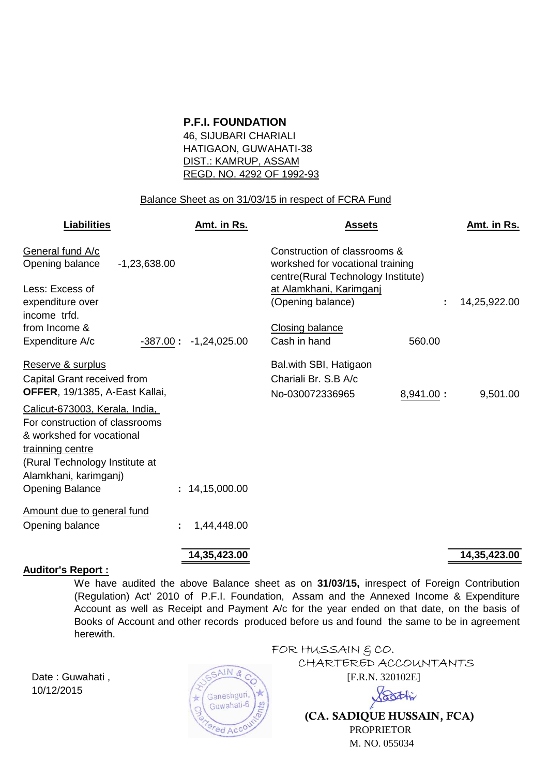### **P.F.I. FOUNDATION**

46, SIJUBARI CHARIALI HATIGAON, GUWAHATI-38 DIST.: KAMRUP, ASSAM REGD. NO. 4292 OF 1992-93

#### Balance Sheet as on 31/03/15 in respect of FCRA Fund

| <b>Liabilities</b>                                                                                                                                                           | Amt. in Rs.             | <b>Assets</b>                                                                                          |           | Amt. in Rs.  |
|------------------------------------------------------------------------------------------------------------------------------------------------------------------------------|-------------------------|--------------------------------------------------------------------------------------------------------|-----------|--------------|
| General fund A/c<br>Opening balance<br>$-1,23,638.00$                                                                                                                        |                         | Construction of classrooms &<br>workshed for vocational training<br>centre(Rural Technology Institute) |           |              |
| Less: Excess of<br>expenditure over<br>income trfd.                                                                                                                          |                         | at Alamkhani, Karimganj<br>(Opening balance)                                                           |           | 14,25,922.00 |
| from Income &<br>Expenditure A/c                                                                                                                                             | $-387.00: -1,24,025.00$ | <b>Closing balance</b><br>Cash in hand                                                                 | 560.00    |              |
| Reserve & surplus<br>Capital Grant received from<br>OFFER, 19/1385, A-East Kallai,                                                                                           |                         | Bal.with SBI, Hatigaon<br>Chariali Br. S.B A/c<br>No-030072336965                                      | 8,941.00: | 9,501.00     |
| Calicut-673003, Kerala, India,<br>For construction of classrooms<br>& workshed for vocational<br>trainning centre<br>(Rural Technology Institute at<br>Alamkhani, karimganj) |                         |                                                                                                        |           |              |
| <b>Opening Balance</b>                                                                                                                                                       | : 14,15,000.00          |                                                                                                        |           |              |
| Amount due to general fund<br>Opening balance                                                                                                                                | 1,44,448.00<br>÷        |                                                                                                        |           |              |

#### **Auditor's Report :**

We have audited the above Balance sheet as on **31/03/15,** inrespect of Foreign Contribution (Regulation) Act' 2010 of P.F.I. Foundation, Assam and the Annexed Income & Expenditure Account as well as Receipt and Payment A/c for the year ended on that date, on the basis of Books of Account and other records produced before us and found the same to be in agreement herewith.

10/12/2015



FOR HUSSAIN & CO. CHARTERED ACCOUNTANTS Date : Guwahati ,  $\sqrt{55ANR}$  (F.R.N. 320102E) Bothi

 **(CA. SADIQUE HUSSAIN, FCA)** PROPRIETOR M. NO. 055034

## **14,35,423.00 14,35,423.00**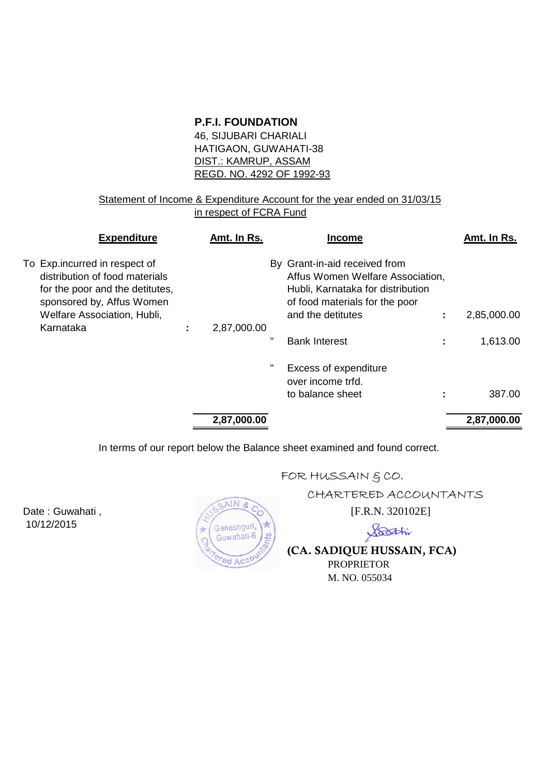## **P.F.I. FOUNDATION**

46, SIJUBARI CHARIALI HATIGAON, GUWAHATI-38 DIST.: KAMRUP, ASSAM REGD. NO. 4292 OF 1992-93

## Statement of Income & Expenditure Account for the year ended on 31/03/15 in respect of FCRA Fund

| <b>Expenditure</b>                                                                                                              | Amt. In Rs. |   | <b>Income</b>                                                                                                                            | Amt. In Rs. |
|---------------------------------------------------------------------------------------------------------------------------------|-------------|---|------------------------------------------------------------------------------------------------------------------------------------------|-------------|
| To Exp.incurred in respect of<br>distribution of food materials<br>for the poor and the detitutes,<br>sponsored by, Affus Women |             |   | By Grant-in-aid received from<br>Affus Women Welfare Association,<br>Hubli, Karnataka for distribution<br>of food materials for the poor |             |
| Welfare Association, Hubli,                                                                                                     |             |   | and the detitutes                                                                                                                        | 2,85,000.00 |
| Karnataka                                                                                                                       | 2,87,000.00 |   |                                                                                                                                          |             |
|                                                                                                                                 |             | π | <b>Bank Interest</b>                                                                                                                     | 1,613.00    |
|                                                                                                                                 |             |   | Excess of expenditure<br>over income trfd.<br>to balance sheet                                                                           | 387.00      |
|                                                                                                                                 |             |   |                                                                                                                                          |             |
|                                                                                                                                 | 2,87,000.00 |   |                                                                                                                                          | 2,87,000.00 |
|                                                                                                                                 |             |   |                                                                                                                                          |             |

In terms of our report below the Balance sheet examined and found correct.

10/12/2015



# FOR HUSSAIN  $$CO.$

CHARTERED ACCOUNTANTS

Soothi

**(CA. SADIQUE HUSSAIN, FCA)**

 PROPRIETOR M. NO. 055034